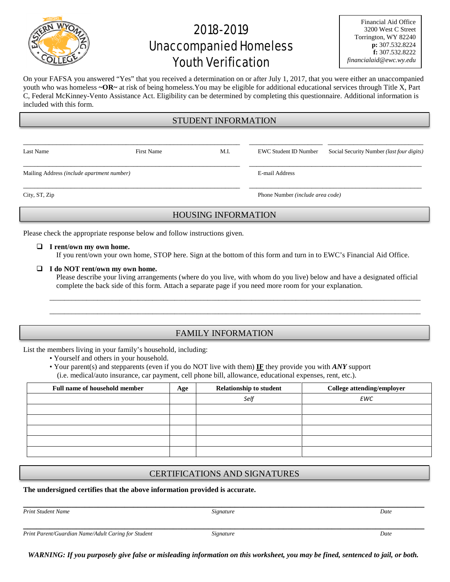

# 2018-2019 Unaccompanied Homeless Youth Verification

| Financial Aid Office    |
|-------------------------|
| 3200 West C Street      |
| Torrington, WY 82240    |
| p: 307.532.8224         |
| f: $307.532.8222$       |
| financialaid@ewc.wy.edu |

On your FAFSA you answered "Yes" that you received a determination on or after July 1, 2017, that you were either an unaccompanied youth who was homeless **~OR~** at risk of being homeless.You may be eligible for additional educational services through Title X, Part C, Federal McKinney-Vento Assistance Act. Eligibility can be determined by completing this questionnaire. Additional information is included with this form.

### STUDENT INFORMATION

| Last Name                                  | <b>First Name</b> | M.I. | EWC Student ID Number                   | Social Security Number <i>(last four digits)</i> |  |
|--------------------------------------------|-------------------|------|-----------------------------------------|--------------------------------------------------|--|
| Mailing Address (include apartment number) |                   |      | E-mail Address                          |                                                  |  |
| City, ST, Zip                              |                   |      | Phone Number <i>(include area code)</i> |                                                  |  |

## HOUSING INFORMATION

Please check the appropriate response below and follow instructions given.

#### **I rent/own my own home.**

If you rent/own your own home, STOP here. Sign at the bottom of this form and turn in to EWC's Financial Aid Office.

#### **I do NOT rent/own my own home.**

Please describe your living arrangements (where do you live, with whom do you live) below and have a designated official complete the back side of this form. Attach a separate page if you need more room for your explanation.

\_\_\_\_\_\_\_\_\_\_\_\_\_\_\_\_\_\_\_\_\_\_\_\_\_\_\_\_\_\_\_\_\_\_\_\_\_\_\_\_\_\_\_\_\_\_\_\_\_\_\_\_\_\_\_\_\_\_\_\_\_\_\_\_\_\_\_\_\_\_\_\_\_\_\_\_\_\_\_\_\_\_\_\_\_\_\_\_\_\_\_\_\_\_\_\_\_\_\_\_\_ \_\_\_\_\_\_\_\_\_\_\_\_\_\_\_\_\_\_\_\_\_\_\_\_\_\_\_\_\_\_\_\_\_\_\_\_\_\_\_\_\_\_\_\_\_\_\_\_\_\_\_\_\_\_\_\_\_\_\_\_\_\_\_\_\_\_\_\_\_\_\_\_\_\_\_\_\_\_\_\_\_\_\_\_\_\_\_\_\_\_\_\_\_\_\_\_\_\_\_\_\_

## FAMILY INFORMATION

List the members living in your family's household, including:

- Yourself and others in your household.
- Your parent(s) and stepparents (even if you do NOT live with them) **IF** they provide you with *ANY* support (i.e. medical/auto insurance, car payment, cell phone bill, allowance, educational expenses, rent, etc.).

| Full name of household member | Age | <b>Relationship to student</b> | College attending/employer |
|-------------------------------|-----|--------------------------------|----------------------------|
|                               |     | Self                           | <b>EWC</b>                 |
|                               |     |                                |                            |
|                               |     |                                |                            |
|                               |     |                                |                            |
|                               |     |                                |                            |
|                               |     |                                |                            |

## CERTIFICATIONS AND SIGNATURES

#### **The undersigned certifies that the above information provided is accurate.**

*Print Student Name Signature Date*

**\_\_\_\_\_\_\_\_\_\_\_\_\_\_\_\_\_\_\_\_\_\_\_\_\_\_\_\_\_\_\_\_\_\_\_\_\_\_\_\_\_\_\_\_\_\_\_\_\_\_\_\_\_\_\_\_\_\_\_\_\_\_\_\_\_\_\_\_\_\_\_\_\_\_\_\_\_\_\_\_\_\_\_\_\_\_\_\_\_\_\_**

**\_\_\_\_\_\_\_\_\_\_\_\_\_\_\_\_\_\_\_\_\_\_\_\_\_\_\_\_\_\_\_\_\_\_\_\_\_\_\_\_\_\_\_\_\_\_\_\_\_\_\_\_\_\_\_\_\_\_\_\_\_\_\_\_\_\_\_\_\_\_\_\_\_\_\_\_\_\_\_\_\_\_\_\_\_\_\_\_\_\_\_** *Print Parent/Guardian Name/Adult Caring for Student Signature Date*

*WARNING: If you purposely give false or misleading information on this worksheet, you may be fined, sentenced to jail, or both.*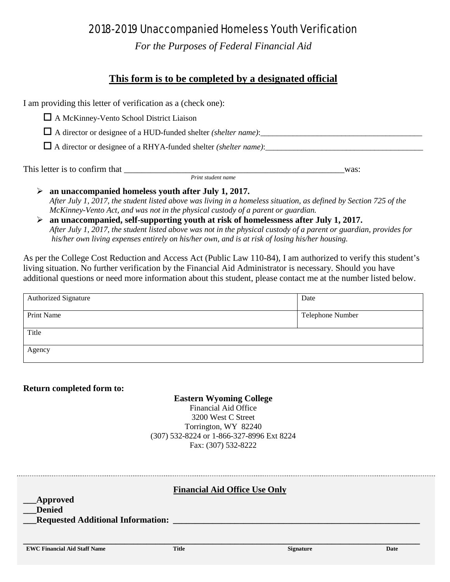## 2018-2019 Unaccompanied Homeless Youth Verification

*For the Purposes of Federal Financial Aid*

## **This form is to be completed by a designated official**

I am providing this letter of verification as a (check one):

A McKinney-Vento School District Liaison

 $\Box$  A director or designee of a HUD-funded shelter *(shelter name)*:

 $\Box$  A director or designee of a RHYA-funded shelter *(shelter name)*:

This letter is to confirm that \_\_\_\_\_\_\_\_\_\_\_\_\_\_\_\_\_\_\_\_\_\_\_\_\_\_\_\_\_\_\_\_\_\_\_\_\_\_\_\_\_\_\_\_\_\_\_\_\_\_was: *Print student name*

- **an unaccompanied homeless youth after July 1, 2017.** *After July 1, 2017, the student listed above was living in a homeless situation, as defined by Section 725 of the McKinney-Vento Act, and was not in the physical custody of a parent or guardian.*
- **an unaccompanied, self-supporting youth at risk of homelessness after July 1, 2017.** *After July 1, 2017, the student listed above was not in the physical custody of a parent or guardian, provides for his/her own living expenses entirely on his/her own, and is at risk of losing his/her housing.*

As per the College Cost Reduction and Access Act (Public Law 110-84), I am authorized to verify this student's living situation. No further verification by the Financial Aid Administrator is necessary. Should you have additional questions or need more information about this student, please contact me at the number listed below.

| <b>Authorized Signature</b> | Date             |
|-----------------------------|------------------|
| Print Name                  | Telephone Number |
| Title                       |                  |
| Agency                      |                  |

## **Return completed form to:**

**Eastern Wyoming College** Financial Aid Office 3200 West C Street Torrington, WY 82240 (307) 532-8224 or 1-866-327-8996 Ext 8224 Fax: (307) 532-8222

**Financial Aid Office Use Only \_\_\_Approved \_\_\_Denied \_\_\_Requested Additional Information: \_\_\_\_\_\_\_\_\_\_\_\_\_\_\_\_\_\_\_\_\_\_\_\_\_\_\_\_\_\_\_\_\_\_\_\_\_\_\_\_\_\_\_\_\_\_\_\_\_\_\_\_\_\_\_\_ \_\_\_\_\_\_\_\_\_\_\_\_\_\_\_\_\_\_\_\_\_\_\_\_\_\_\_\_\_\_\_\_\_\_\_\_\_\_\_\_\_\_\_\_\_\_\_\_\_\_\_\_\_\_\_\_\_\_\_\_\_\_\_\_\_\_\_\_\_\_\_\_\_\_\_\_\_\_\_\_\_\_\_\_\_\_\_\_\_\_ EWC Financial Aid Staff Name Title Signature Date**